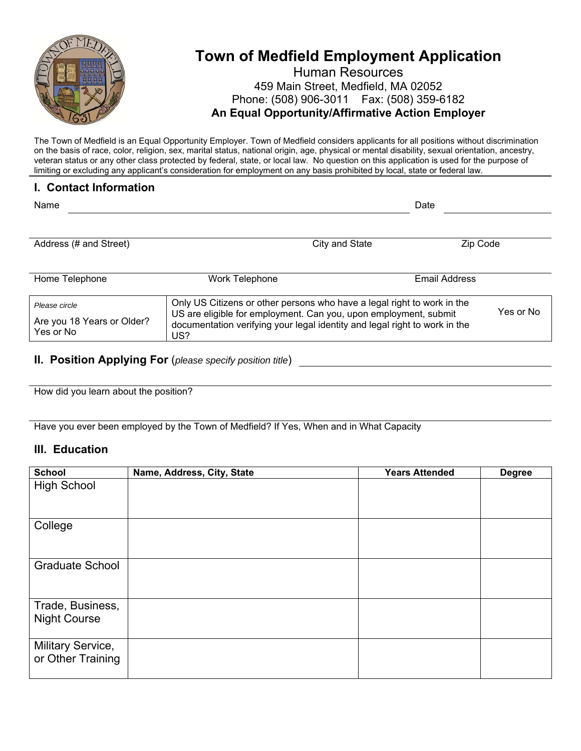

# **Town of Medfield Employment Application**

### Human Resources 459 Main Street, Medfield, MA 02052 Phone: (508) 906-3011 Fax: (508) 359-6182 **An Equal Opportunity/Affirmative Action Employer**

The Town of Medfield is an Equal Opportunity Employer. Town of Medfield considers applicants for all positions without discrimination on the basis of race, color, religion, sex, marital status, national origin, age, physical or mental disability, sexual orientation, ancestry, veteran status or any other class protected by federal, state, or local law. No question on this application is used for the purpose of limiting or excluding any applicant's consideration for employment on any basis prohibited by local, state or federal law.

#### **I. Contact Information**

| Name                                                     |                                                                                                                                                                                                                                  |                | Date                 |           |
|----------------------------------------------------------|----------------------------------------------------------------------------------------------------------------------------------------------------------------------------------------------------------------------------------|----------------|----------------------|-----------|
| Address (# and Street)                                   |                                                                                                                                                                                                                                  | City and State | Zip Code             |           |
| Home Telephone                                           | Work Telephone                                                                                                                                                                                                                   |                | <b>Email Address</b> |           |
| Please circle<br>Are you 18 Years or Older?<br>Yes or No | Only US Citizens or other persons who have a legal right to work in the<br>US are eligible for employment. Can you, upon employment, submit<br>documentation verifying your legal identity and legal right to work in the<br>US? |                |                      | Yes or No |
|                                                          |                                                                                                                                                                                                                                  |                |                      |           |

**II. Position Applying For** (*please specify position title*)

How did you learn about the position?

Have you ever been employed by the Town of Medfield? If Yes, When and in What Capacity

#### **III. Education**

| <b>School</b>                           | Name, Address, City, State | <b>Years Attended</b> | <b>Degree</b> |
|-----------------------------------------|----------------------------|-----------------------|---------------|
| <b>High School</b>                      |                            |                       |               |
| College                                 |                            |                       |               |
| <b>Graduate School</b>                  |                            |                       |               |
| Trade, Business,<br><b>Night Course</b> |                            |                       |               |
| Military Service,<br>or Other Training  |                            |                       |               |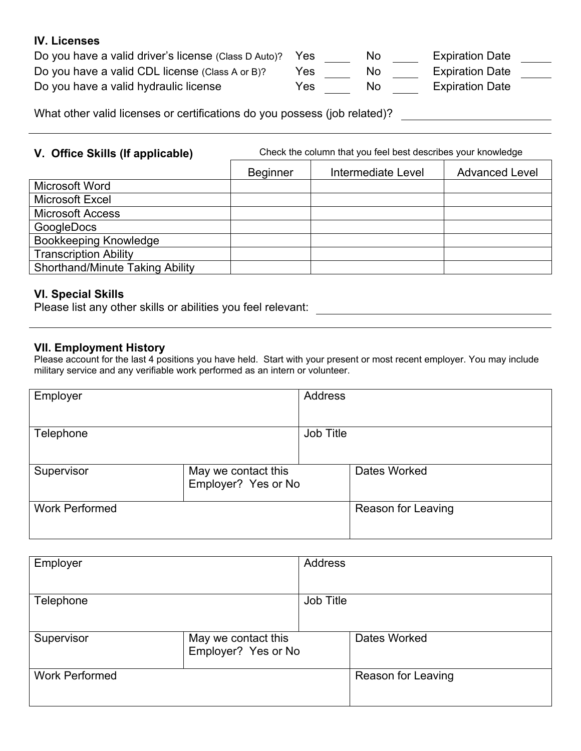#### **IV. Licenses**

| Do you have a valid driver's license (Class D Auto)? Yes |      | No  | <b>Expiration Date</b> |
|----------------------------------------------------------|------|-----|------------------------|
| Do you have a valid CDL license (Class A or B)?          | Yes. | No. | <b>Expiration Date</b> |
| Do you have a valid hydraulic license                    | Yes  | No  | <b>Expiration Date</b> |

What other valid licenses or certifications do you possess (job related)?

**V. Office Skills (If applicable)** Check the column that you feel best describes your knowledge

|                                        | <b>Beginner</b> | Intermediate Level | <b>Advanced Level</b> |
|----------------------------------------|-----------------|--------------------|-----------------------|
| Microsoft Word                         |                 |                    |                       |
| Microsoft Excel                        |                 |                    |                       |
| <b>Microsoft Access</b>                |                 |                    |                       |
| GoogleDocs                             |                 |                    |                       |
| <b>Bookkeeping Knowledge</b>           |                 |                    |                       |
| <b>Transcription Ability</b>           |                 |                    |                       |
| <b>Shorthand/Minute Taking Ability</b> |                 |                    |                       |

#### **VI. Special Skills**

Please list any other skills or abilities you feel relevant:

#### **VII. Employment History**

Please account for the last 4 positions you have held. Start with your present or most recent employer. You may include military service and any verifiable work performed as an intern or volunteer.

| Employer              |                                            | <b>Address</b> |                           |
|-----------------------|--------------------------------------------|----------------|---------------------------|
| Telephone             |                                            | Job Title      |                           |
| Supervisor            | May we contact this<br>Employer? Yes or No |                | Dates Worked              |
| <b>Work Performed</b> |                                            |                | <b>Reason for Leaving</b> |

| Employer              |                                            | <b>Address</b> |                           |
|-----------------------|--------------------------------------------|----------------|---------------------------|
| Telephone             |                                            | Job Title      |                           |
| Supervisor            | May we contact this<br>Employer? Yes or No |                | Dates Worked              |
| <b>Work Performed</b> |                                            |                | <b>Reason for Leaving</b> |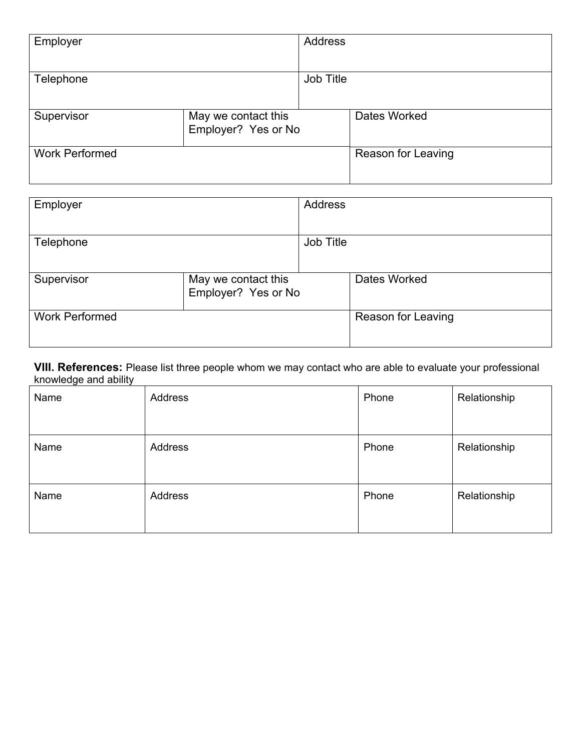| Employer              |                                            | <b>Address</b> |                           |
|-----------------------|--------------------------------------------|----------------|---------------------------|
| Telephone             |                                            | Job Title      |                           |
| Supervisor            | May we contact this<br>Employer? Yes or No |                | Dates Worked              |
| <b>Work Performed</b> |                                            |                | <b>Reason for Leaving</b> |

| Employer              |                                            | <b>Address</b> |                           |
|-----------------------|--------------------------------------------|----------------|---------------------------|
| Telephone             |                                            | Job Title      |                           |
| Supervisor            | May we contact this<br>Employer? Yes or No |                | Dates Worked              |
| <b>Work Performed</b> |                                            |                | <b>Reason for Leaving</b> |

**VIII. References:** Please list three people whom we may contact who are able to evaluate your professional knowledge and ability

| Name | Address | Phone | Relationship |
|------|---------|-------|--------------|
| Name | Address | Phone | Relationship |
| Name | Address | Phone | Relationship |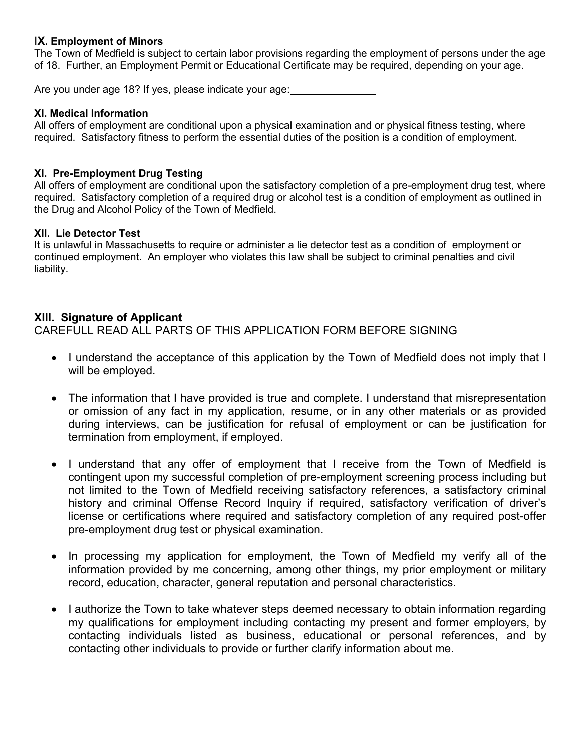#### I**X. Employment of Minors**

The Town of Medfield is subject to certain labor provisions regarding the employment of persons under the age of 18. Further, an Employment Permit or Educational Certificate may be required, depending on your age.

Are you under age 18? If yes, please indicate your age:

#### **XI. Medical Information**

All offers of employment are conditional upon a physical examination and or physical fitness testing, where required. Satisfactory fitness to perform the essential duties of the position is a condition of employment.

#### **XI. Pre-Employment Drug Testing**

All offers of employment are conditional upon the satisfactory completion of a pre-employment drug test, where required. Satisfactory completion of a required drug or alcohol test is a condition of employment as outlined in the Drug and Alcohol Policy of the Town of Medfield.

#### **XII. Lie Detector Test**

It is unlawful in Massachusetts to require or administer a lie detector test as a condition of employment or continued employment. An employer who violates this law shall be subject to criminal penalties and civil liability.

#### **XIII. Signature of Applicant**

CAREFULL READ ALL PARTS OF THIS APPLICATION FORM BEFORE SIGNING

- I understand the acceptance of this application by the Town of Medfield does not imply that I will be employed.
- The information that I have provided is true and complete. I understand that misrepresentation or omission of any fact in my application, resume, or in any other materials or as provided during interviews, can be justification for refusal of employment or can be justification for termination from employment, if employed.
- I understand that any offer of employment that I receive from the Town of Medfield is contingent upon my successful completion of pre-employment screening process including but not limited to the Town of Medfield receiving satisfactory references, a satisfactory criminal history and criminal Offense Record Inquiry if required, satisfactory verification of driver's license or certifications where required and satisfactory completion of any required post-offer pre-employment drug test or physical examination.
- In processing my application for employment, the Town of Medfield my verify all of the information provided by me concerning, among other things, my prior employment or military record, education, character, general reputation and personal characteristics.
- I authorize the Town to take whatever steps deemed necessary to obtain information regarding my qualifications for employment including contacting my present and former employers, by contacting individuals listed as business, educational or personal references, and by contacting other individuals to provide or further clarify information about me.